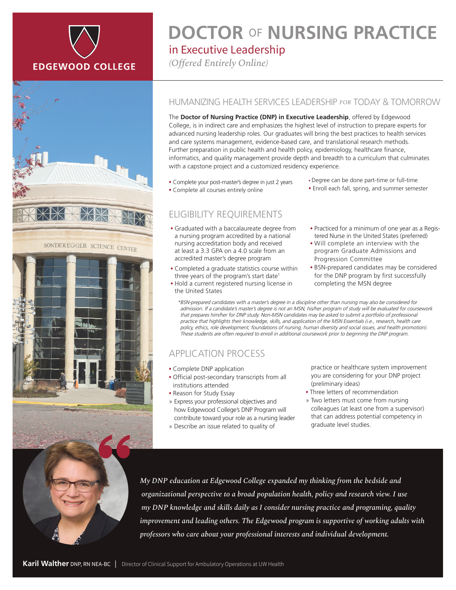





## in Executive Leadership **DOCTOR** OF **NURSING PRACTICE**

*(Offered Entirely Online)*

#### HUMANIZING HEALTH SERVICES LEADERSHIP *FOR* TODAY & TOMORROW

The **Doctor of Nursing Practice (DNP) in Executive Leadership**, offered by Edgewood College, is in indirect care and emphasizes the highest level of instruction to prepare experts for advanced nursing leadership roles. Our graduates will bring the best practices to health services and care systems management, evidence-based care, and translational research methods. Further preparation in public health and health policy, epidemiology, healthcare finance, informatics, and quality management provide depth and breadth to a curriculum that culminates with a capstone project and a customized residency experience.

- Complete your post-master's degree in just 2 years • Complete all courses entirely online
	-

# ELIGIBILITY REQUIREMENTS

- Graduated with a baccalaureate degree from a nursing program accredited by a national nursing accreditation body and received at least a 3.3 GPA on a 4.0 scale from an accredited master's degree program
- Completed a graduate statistics course within three years of the program's start date<sup>1</sup> • Hold a current registered nursing license in
- the United States
- Degree can be done part-time or full-time
- Enroll each fall, spring, and summer semester
- Practiced for a minimum of one year as a Registered Nurse in the United States (preferred)
- Will complete an interview with the program Graduate Admissions and Progression Committee
- BSN-prepared candidates may be considered for the DNP program by first successfully completing the MSN degree

\*BSN-prepared candidates with a master's degree in a discipline other than nursing may also be considered for admission. If a candidate's master's degree is not an MSN, his/her program of study will be evaluated for coursework that prepares him/her for DNP study. Non-MSN candidates may be asked to submit a portfolio of professional practice that highlights their knowledge, skills, and application of the MSN Essentials (i.e., research, health care policy, ethics, role development, foundations of nursing, human diversity and social issues, and health promotion). These students are often required to enroll in additional coursework prior to beginning the DNP program.

### APPLICATION PROCESS

- Complete DNP application
- Official post-secondary transcripts from all institutions attended
- Reason for Study Essay
- » Express your professional objectives and how Edgewood College's DNP Program will contribute toward your role as a nursing leader
- » Describe an issue related to quality of

practice or healthcare system improvement you are considering for your DNP project (preliminary ideas)

- Three letters of recommendation
- » Two letters must come from nursing colleagues (at least one from a supervisor) that can address potential competency in graduate level studies.

*My DNP education at Edgewood College expanded my thinking from the bedside and organizational perspective to a broad population health, policy and research view. I use my DNP knowledge and skills daily as I consider nursing practice and programing, quality improvement and leading others. The Edgewood program is supportive of working adults with professors who care about your professional interests and individual development.*